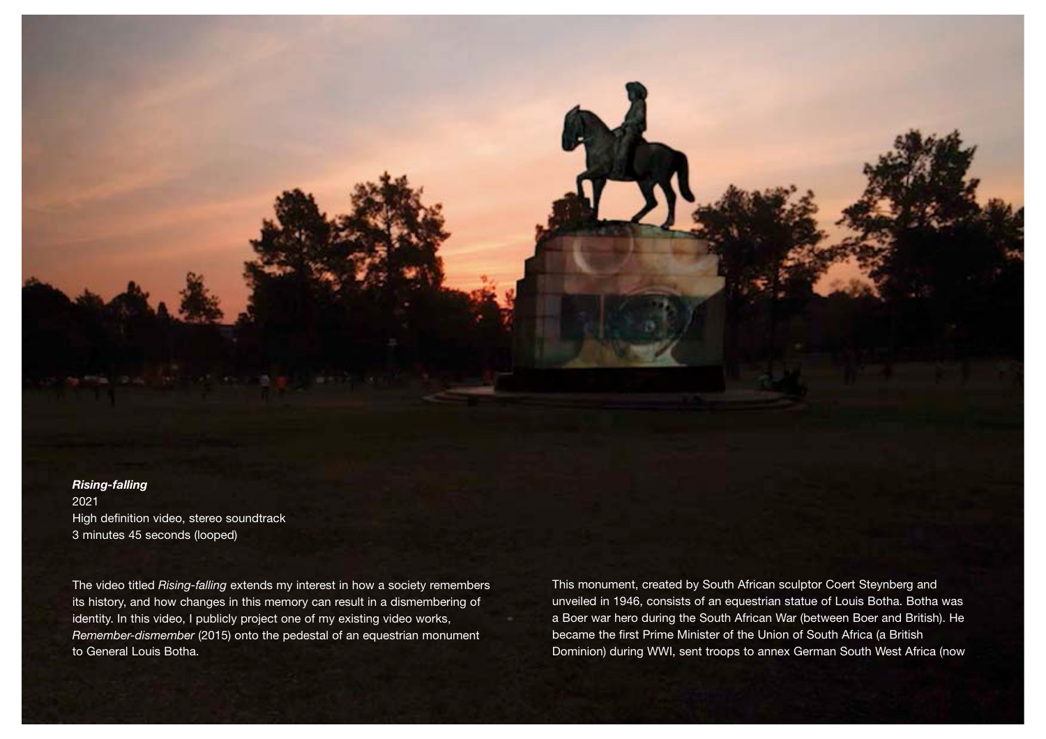*Rising-falling* 2021 High definition video, stereo soundtrack 3 minutes 45 seconds (looped)

The video titled *Rising-falling* extends my interest in how a society remembers its history, and how changes in this memory can result in a dismembering of identity. In this video, I publicly project one of my existing video works, *Remember-dismember* (2015) onto the pedestal of an equestrian monument to General Louis Botha.

This monument, created by South African sculptor Coert Steynberg and unveiled in 1946, consists of an equestrian statue of Louis Botha. Botha was a Boer war hero during the South African War (between Boer and British). He became the first Prime Minister of the Union of South Africa (a British Dominion) during WWI, sent troops to annex German South West Africa (now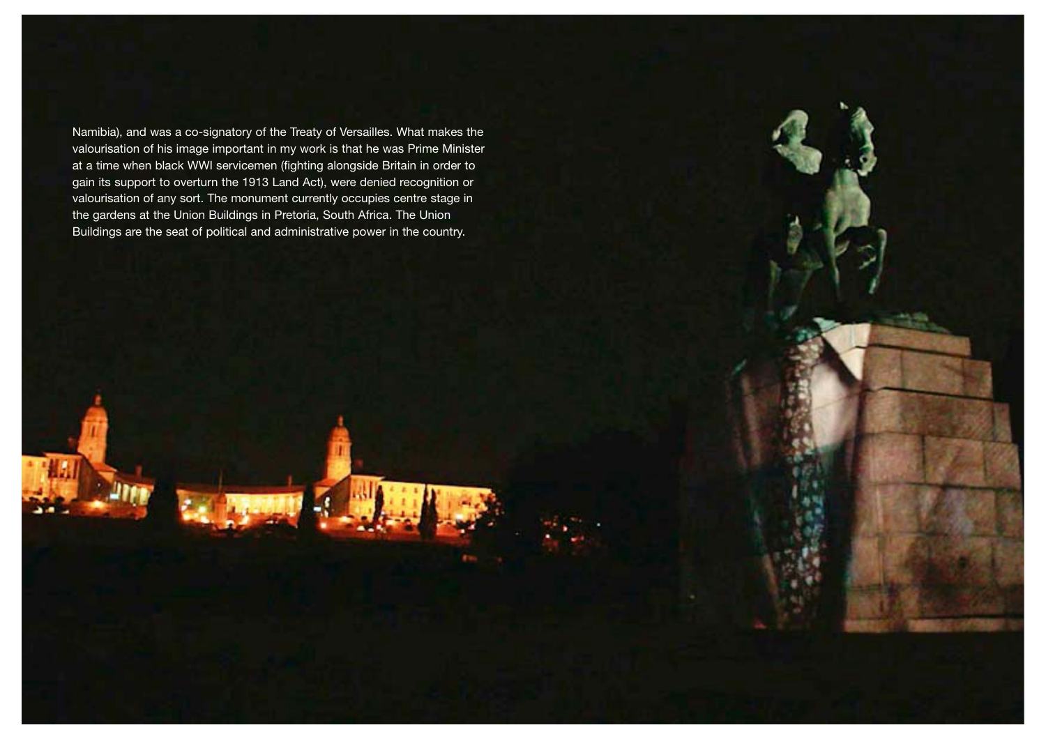Namibia), and was a co-signatory of the Treaty of Versailles. What makes the valourisation of his image important in my work is that he was Prime Minister at a time when black WWI servicemen (fighting alongside Britain in order to gain its support to overturn the 1913 Land Act), were denied recognition or valourisation of any sort. The monument currently occupies centre stage in the gardens at the Union Buildings in Pretoria, South Africa. The Union Buildings are the seat of political and administrative power in the country.

- -